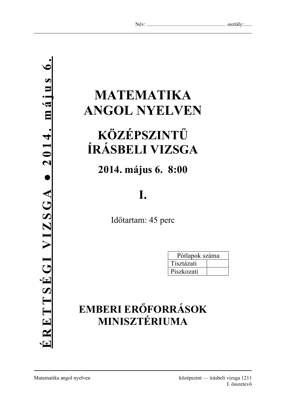# **MATEMATIKA ANGOL NYELVEN**

## **KÖZÉPSZINTŰ ÍRÁSBELI VIZSGA**

**2014. május 6. 8:00** 

**I.**

Időtartam: 45 perc

| Pótlapok száma |  |
|----------------|--|
| Tisztázati     |  |
| Piszkozati     |  |

### **EMBERI ERŐFORRÁSOK MINISZTÉRIUMA**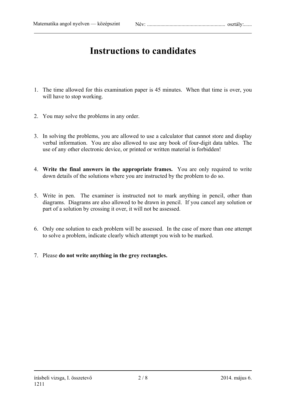### **Instructions to candidates**

- 1. The time allowed for this examination paper is 45 minutes. When that time is over, you will have to stop working.
- 2. You may solve the problems in any order.
- 3. In solving the problems, you are allowed to use a calculator that cannot store and display verbal information. You are also allowed to use any book of four-digit data tables. The use of any other electronic device, or printed or written material is forbidden!
- 4. **Write the final answers in the appropriate frames.** You are only required to write down details of the solutions where you are instructed by the problem to do so.
- 5. Write in pen. The examiner is instructed not to mark anything in pencil, other than diagrams. Diagrams are also allowed to be drawn in pencil. If you cancel any solution or part of a solution by crossing it over, it will not be assessed.
- 6. Only one solution to each problem will be assessed. In the case of more than one attempt to solve a problem, indicate clearly which attempt you wish to be marked.
- 7. Please **do not write anything in the grey rectangles.**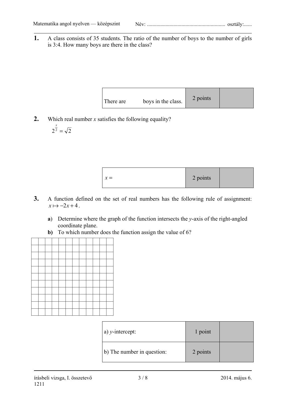**1.** A class consists of 35 students. The ratio of the number of boys to the number of girls is 3:4. How many boys are there in the class?

| 2 points<br>boys in the class.<br>There are |
|---------------------------------------------|
|---------------------------------------------|

**2.** Which real number *x* satisfies the following equality?  $2^2 = \sqrt{2}$ *x*

| $\mathbf{v}$ $-$<br>$\lambda -$ | 2 points |  |
|---------------------------------|----------|--|
|---------------------------------|----------|--|

- **3.** A function defined on the set of real numbers has the following rule of assignment:  $x \mapsto -2x + 4$ .
	- **a**) Determine where the graph of the function intersects the *y*-axis of the right-angled coordinate plane.
	- **b**) To which number does the function assign the value of 6?

| a) $y$ -intercept:         | 1 point  |  |
|----------------------------|----------|--|
| b) The number in question: | 2 points |  |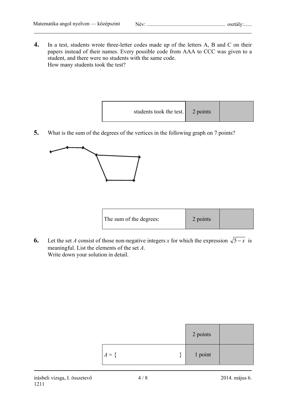**4.** In a test, students wrote three-letter codes made up of the letters A, B and C on their papers instead of their names. Every possible code from AAA to CCC was given to a student, and there were no students with the same code. How many students took the test?

| students took the test. 2 points |  |  |
|----------------------------------|--|--|
|----------------------------------|--|--|

**5.** What is the sum of the degrees of the vertices in the following graph on 7 points?



| The sum of the degrees: | 2 points |  |
|-------------------------|----------|--|
|-------------------------|----------|--|

**6.** Let the set *A* consist of those non-negative integers *x* for which the expression  $\sqrt{5-x}$  is meaningful. List the elements of the set *A*. Write down your solution in detail.

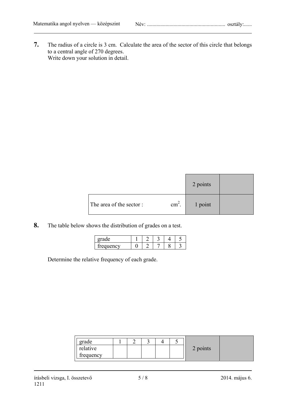**7.** The radius of a circle is 3 cm. Calculate the area of the sector of this circle that belongs to a central angle of 270 degrees. Write down your solution in detail.

|                                            | 2 points |  |
|--------------------------------------------|----------|--|
| The area of the sector:<br>$\text{cm}^2$ . | 1 point  |  |

**8.** The table below shows the distribution of grades on a test.

| arade    |  |  |  |
|----------|--|--|--|
| requency |  |  |  |

Determine the relative frequency of each grade.

| grade     |  |  |          |  |
|-----------|--|--|----------|--|
| relative  |  |  | 2 points |  |
| frequency |  |  |          |  |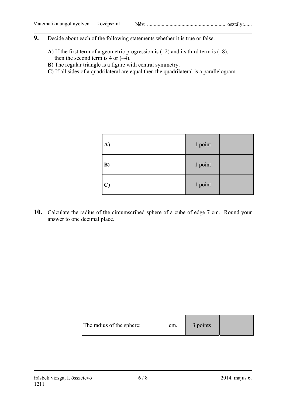- **9.** Decide about each of the following statements whether it is true or false.
	- **A**) If the first term of a geometric progression is  $(-2)$  and its third term is  $(-8)$ , then the second term is 4 or  $(-4)$ .
	- **B**) The regular triangle is a figure with central symmetry.
	- **C**) If all sides of a quadrilateral are equal then the quadrilateral is a parallelogram.

| A)           | 1 point |  |
|--------------|---------|--|
| B)           | 1 point |  |
| $\mathbf{C}$ | 1 point |  |

**10.** Calculate the radius of the circumscribed sphere of a cube of edge 7 cm. Round your answer to one decimal place.

| The radius of the sphere:<br>cm. | 3 points |
|----------------------------------|----------|
|----------------------------------|----------|

 $\mathsf{r}$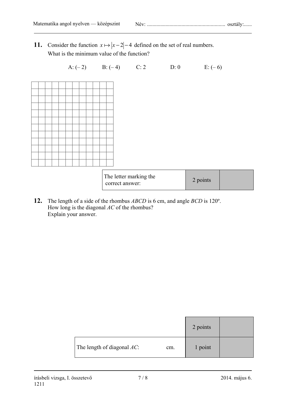**11.** Consider the function  $x \mapsto |x-2|-4$  defined on the set of real numbers. What is the minimum value of the function?



|  |  |  |  |  | The letter marking the<br>correct answer: |
|--|--|--|--|--|-------------------------------------------|

**12.** The length of a side of the rhombus *ABCD* is 6 cm, and angle *BCD* is 120º. How long is the diagonal *AC* of the rhombus? Explain your answer.

|                                      | 2 points |  |
|--------------------------------------|----------|--|
| The length of diagonal $AC$ :<br>cm. | 1 point  |  |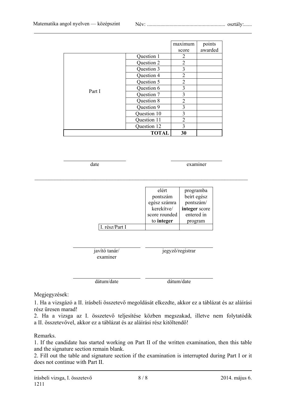|        |              | maximum        | points  |
|--------|--------------|----------------|---------|
|        |              | score          | awarded |
|        | Question 1   | 2              |         |
|        | Question 2   | 2              |         |
|        | Question 3   | 3              |         |
|        | Question 4   | $\overline{2}$ |         |
|        | Question 5   | $\overline{2}$ |         |
| Part I | Question 6   | 3              |         |
|        | Question 7   | 3              |         |
|        | Question 8   | $\overline{2}$ |         |
|        | Question 9   | 3              |         |
|        | Question 10  | 3              |         |
|        | Question 11  | 2              |         |
|        | Question 12  | 3              |         |
|        | <b>TOTAL</b> | 30             |         |

date examiner

|                | elért         | programba     |
|----------------|---------------|---------------|
|                | pontszám      | beírt egész   |
|                |               |               |
|                | egész számra  | pontszám/     |
|                | kerekítve/    | integer score |
|                | score rounded | entered in    |
|                | to integer    | program       |
| I. rész/Part I |               |               |

 $\mathcal{L}_\text{max} = \frac{1}{2} \sum_{i=1}^n \mathcal{L}_\text{max}(\mathbf{z}_i - \mathbf{z}_i)$ 

javító tanár/ examiner

jegyző/registrar

dátum/date dátum/date

Megjegyzések:

1. Ha a vizsgázó a II. írásbeli összetevő megoldását elkezdte, akkor ez a táblázat és az aláírási rész üresen marad!

2. Ha a vizsga az I. összetevő teljesítése közben megszakad, illetve nem folytatódik a II. összetevővel, akkor ez a táblázat és az aláírási rész kitöltendő!

#### Remarks.

1. If the candidate has started working on Part II of the written examination, then this table and the signature section remain blank.

2. Fill out the table and signature section if the examination is interrupted during Part I or it does not continue with Part II.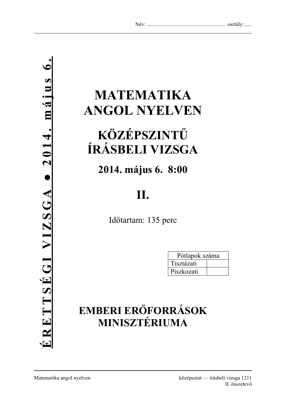# **MATEMATIKA ANGOL NYELVEN**

## **KÖZÉPSZINTŰ ÍRÁSBELI VIZSGA**

**2014. május 6. 8:00** 

### **II.**

Időtartam: 135 perc

| Pótlapok száma |  |  |  |  |  |
|----------------|--|--|--|--|--|
| Tisztázati     |  |  |  |  |  |
| Piszkozati     |  |  |  |  |  |

### **EMBERI ERŐFORRÁSOK MINISZTÉRIUMA**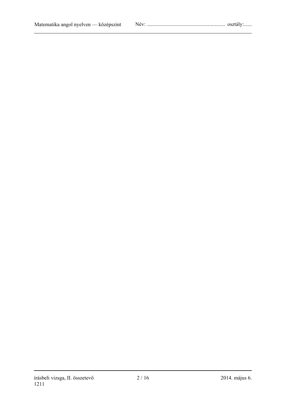|--|--|--|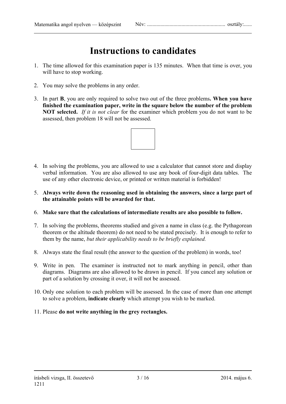### **Instructions to candidates**

- 1. The time allowed for this examination paper is 135 minutes. When that time is over, you will have to stop working.
- 2. You may solve the problems in any order.
- 3. In part **B**, you are only required to solve two out of the three problems**. When you have finished the examination paper, write in the square below the number of the problem NOT selected.** *If it is not clear* for the examiner which problem you do not want to be assessed, then problem 18 will not be assessed.



- 4. In solving the problems, you are allowed to use a calculator that cannot store and display verbal information. You are also allowed to use any book of four-digit data tables. The use of any other electronic device, or printed or written material is forbidden!
- 5. **Always write down the reasoning used in obtaining the answers, since a large part of the attainable points will be awarded for that.**
- 6. **Make sure that the calculations of intermediate results are also possible to follow.**
- 7. In solving the problems, theorems studied and given a name in class (e.g. the Pythagorean theorem or the altitude theorem) do not need to be stated precisely. It is enough to refer to them by the name, *but their applicability needs to be briefly explained.*
- 8. Always state the final result (the answer to the question of the problem) in words, too!
- 9. Write in pen. The examiner is instructed not to mark anything in pencil, other than diagrams. Diagrams are also allowed to be drawn in pencil. If you cancel any solution or part of a solution by crossing it over, it will not be assessed.
- 10. Only one solution to each problem will be assessed. In the case of more than one attempt to solve a problem, **indicate clearly** which attempt you wish to be marked.
- 11. Please **do not write anything in the grey rectangles.**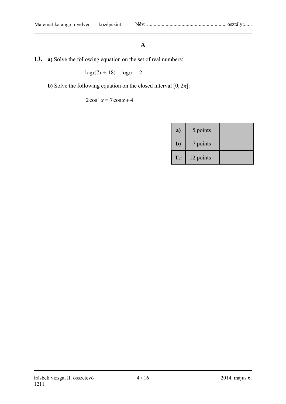#### **A**

**13. a)** Solve the following equation on the set of real numbers:

 $\log_3(7x + 18) - \log_3 x = 2$ 

**b**) Solve the following equation on the closed interval  $[0; 2\pi]$ :

$$
2\cos^2 x = 7\cos x + 4
$$

| a)           | 5 points  |  |
|--------------|-----------|--|
| $\mathbf{b}$ | 7 points  |  |
| $T$ .:       | 12 points |  |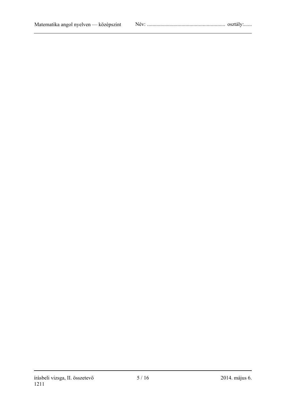|--|--|--|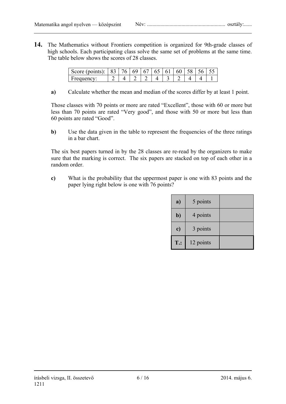**14.** The Mathematics without Frontiers competition is organized for 9th-grade classes of high schools. Each participating class solve the same set of problems at the same time. The table below shows the scores of 28 classes.

| Score (points): | $\mathbf{X}$ | $/6$ $\pm$ | 69167 | 65 <sub>1</sub> | $-161$ | 60 |  |  |
|-----------------|--------------|------------|-------|-----------------|--------|----|--|--|
| eane nev        |              |            |       |                 |        |    |  |  |

**a)** Calculate whether the mean and median of the scores differ by at least 1 point.

Those classes with 70 points or more are rated "Excellent", those with 60 or more but less than 70 points are rated "Very good", and those with 50 or more but less than 60 points are rated "Good".

**b**) Use the data given in the table to represent the frequencies of the three ratings in a bar chart.

The six best papers turned in by the 28 classes are re-read by the organizers to make sure that the marking is correct. The six papers are stacked on top of each other in a random order.

**c)** What is the probability that the uppermost paper is one with 83 points and the paper lying right below is one with 76 points?

| a)            | 5 points  |  |
|---------------|-----------|--|
| $\mathbf{b}$  | 4 points  |  |
| $\mathbf{c})$ | 3 points  |  |
| $T$ .:        | 12 points |  |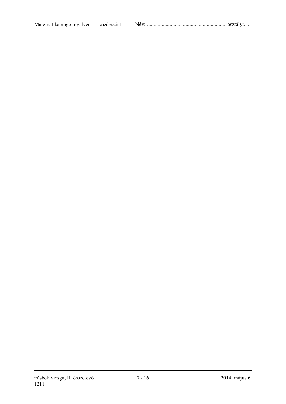|--|--|--|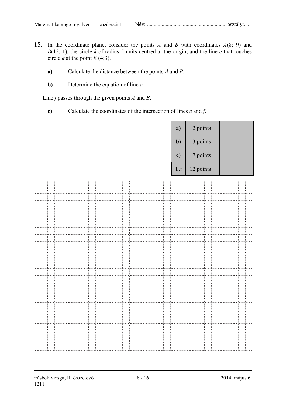- **15.** In the coordinate plane, consider the points *A* and *B* with coordinates *A*(8; 9) and  $B(12; 1)$ , the circle *k* of radius 5 units centred at the origin, and the line *e* that touches circle  $k$  at the point  $E(4,3)$ .
	- **a)** Calculate the distance between the points *A* and *B*.
	- **b)** Determine the equation of line *e*.

Line *f* passes through the given points *A* and *B*.

**c)** Calculate the coordinates of the intersection of lines *e* and *f*.

| a)     | 2 points  |  |
|--------|-----------|--|
| b)     | 3 points  |  |
| c)     | 7 points  |  |
| $T$ .: | 12 points |  |

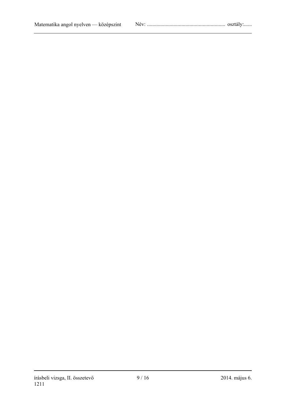|--|--|--|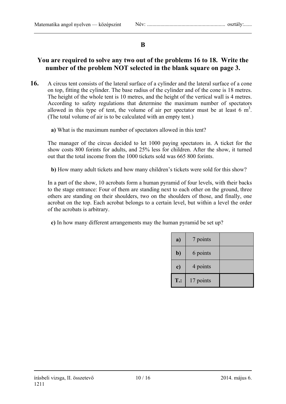#### **B**

#### **You are required to solve any two out of the problems 16 to 18. Write the number of the problem NOT selected in the blank square on page 3.**

- **16.** A circus tent consists of the lateral surface of a cylinder and the lateral surface of a cone on top, fitting the cylinder. The base radius of the cylinder and of the cone is 18 metres. The height of the whole tent is 10 metres, and the height of the vertical wall is 4 metres. According to safety regulations that determine the maximum number of spectators allowed in this type of tent, the volume of air per spectator must be at least  $6 \text{ m}^3$ . (The total volume of air is to be calculated with an empty tent.)
	- **a)** What is the maximum number of spectators allowed in this tent?

The manager of the circus decided to let 1000 paying spectators in. A ticket for the show costs 800 forints for adults, and 25% less for children. After the show, it turned out that the total income from the 1000 tickets sold was 665 800 forints.

**b)** How many adult tickets and how many children's tickets were sold for this show?

In a part of the show, 10 acrobats form a human pyramid of four levels, with their backs to the stage entrance: Four of them are standing next to each other on the ground, three others are standing on their shoulders, two on the shoulders of those, and finally, one acrobat on the top. Each acrobat belongs to a certain level, but within a level the order of the acrobats is arbitrary.

**c)** In how many different arrangements may the human pyramid be set up?

| a)         | 7 points  |  |
|------------|-----------|--|
| b)         | 6 points  |  |
| c)         | 4 points  |  |
| <b>T.:</b> | 17 points |  |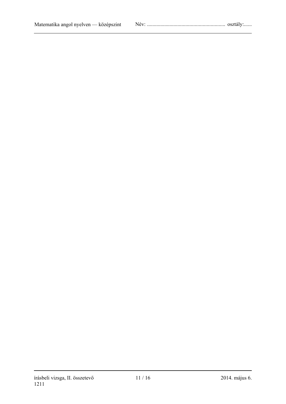|--|--|--|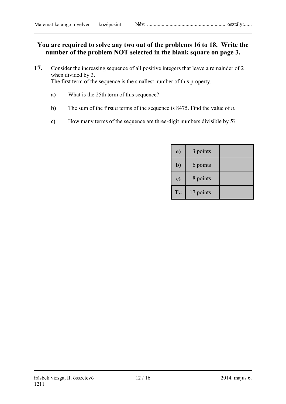#### **You are required to solve any two out of the problems 16 to 18. Write the number of the problem NOT selected in the blank square on page 3.**

- **17.** Consider the increasing sequence of all positive integers that leave a remainder of 2 when divided by 3. The first term of the sequence is the smallest number of this property.
	- **a)** What is the 25th term of this sequence?
	- **b)** The sum of the first *n* terms of the sequence is 8475. Find the value of *n*.
	- **c)** How many terms of the sequence are three-digit numbers divisible by 5?

| a)     | 3 points  |  |
|--------|-----------|--|
| b)     | 6 points  |  |
| c)     | 8 points  |  |
| $T$ .: | 17 points |  |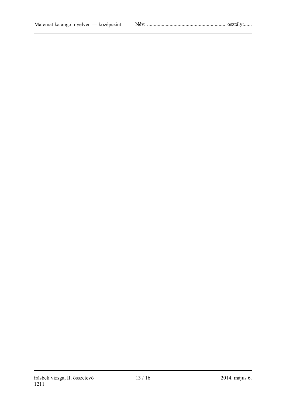|--|--|--|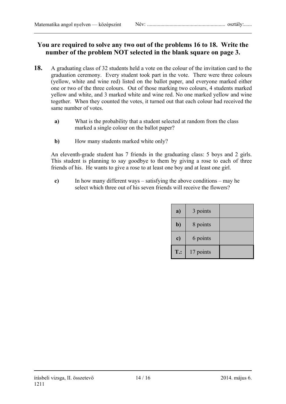#### **You are required to solve any two out of the problems 16 to 18. Write the number of the problem NOT selected in the blank square on page 3.**

- **18.** A graduating class of 32 students held a vote on the colour of the invitation card to the graduation ceremony. Every student took part in the vote. There were three colours (yellow, white and wine red) listed on the ballot paper, and everyone marked either one or two of the three colours. Out of those marking two colours, 4 students marked yellow and white, and 3 marked white and wine red. No one marked yellow and wine together. When they counted the votes, it turned out that each colour had received the same number of votes.
	- **a)** What is the probability that a student selected at random from the class marked a single colour on the ballot paper?
	- **b**) How many students marked white only?

An eleventh-grade student has 7 friends in the graduating class: 5 boys and 2 girls. This student is planning to say goodbye to them by giving a rose to each of three friends of his. He wants to give a rose to at least one boy and at least one girl.

**c)** In how many different ways – satisfying the above conditions – may he select which three out of his seven friends will receive the flowers?

| a)           | 3 points  |  |
|--------------|-----------|--|
| $\mathbf{b}$ | 8 points  |  |
| c)           | 6 points  |  |
| $T$ .:       | 17 points |  |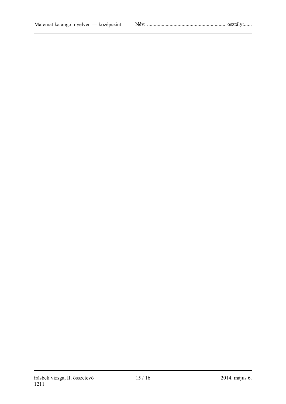|--|--|--|